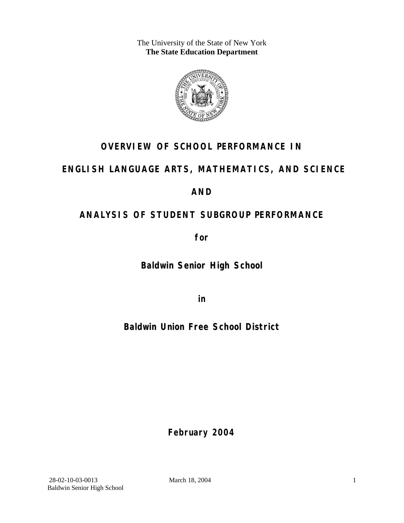The University of the State of New York **The State Education Department** 



# **OVERVIEW OF SCHOOL PERFORMANCE IN**

# **ENGLISH LANGUAGE ARTS, MATHEMATICS, AND SCIENCE**

# **AND**

# **ANALYSIS OF STUDENT SUBGROUP PERFORMANCE**

**for** 

**Baldwin Senior High School**

**in** 

**Baldwin Union Free School District**

**February 2004**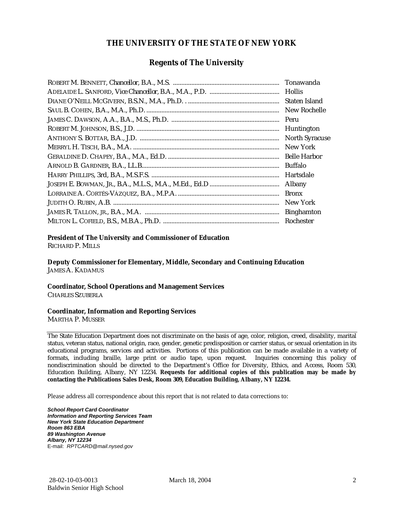### **THE UNIVERSITY OF THE STATE OF NEW YORK**

### **Regents of The University**

| Tonawanda             |
|-----------------------|
| <b>Hollis</b>         |
| Staten Island         |
| New Rochelle          |
| Peru                  |
| Huntington            |
| <b>North Syracuse</b> |
| New York              |
| <b>Belle Harbor</b>   |
| Buffalo               |
| Hartsdale             |
| Albany                |
| <b>Bronx</b>          |
| New York              |
| <b>Binghamton</b>     |
| Rochester             |

#### **President of The University and Commissioner of Education**

RICHARD P. MILLS

**Deputy Commissioner for Elementary, Middle, Secondary and Continuing Education**  JAMES A. KADAMUS

#### **Coordinator, School Operations and Management Services**

CHARLES SZUBERLA

#### **Coordinator, Information and Reporting Services**

MARTHA P. MUSSER

The State Education Department does not discriminate on the basis of age, color, religion, creed, disability, marital status, veteran status, national origin, race, gender, genetic predisposition or carrier status, or sexual orientation in its educational programs, services and activities. Portions of this publication can be made available in a variety of formats, including braille, large print or audio tape, upon request. Inquiries concerning this policy of nondiscrimination should be directed to the Department's Office for Diversity, Ethics, and Access, Room 530, Education Building, Albany, NY 12234. **Requests for additional copies of this publication may be made by contacting the Publications Sales Desk, Room 309, Education Building, Albany, NY 12234.** 

Please address all correspondence about this report that is not related to data corrections to:

*School Report Card Coordinator Information and Reporting Services Team New York State Education Department Room 863 EBA 89 Washington Avenue Albany, NY 12234*  E-mail: *RPTCARD@mail.nysed.gov*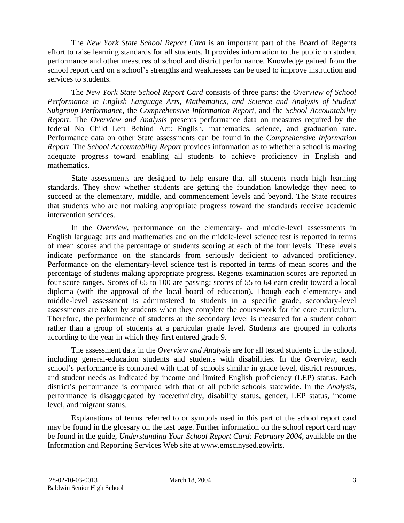The *New York State School Report Card* is an important part of the Board of Regents effort to raise learning standards for all students. It provides information to the public on student performance and other measures of school and district performance. Knowledge gained from the school report card on a school's strengths and weaknesses can be used to improve instruction and services to students.

The *New York State School Report Card* consists of three parts: the *Overview of School Performance in English Language Arts, Mathematics, and Science and Analysis of Student Subgroup Performance,* the *Comprehensive Information Report,* and the *School Accountability Report*. The *Overview and Analysis* presents performance data on measures required by the federal No Child Left Behind Act: English, mathematics, science, and graduation rate. Performance data on other State assessments can be found in the *Comprehensive Information Report*. The *School Accountability Report* provides information as to whether a school is making adequate progress toward enabling all students to achieve proficiency in English and mathematics.

State assessments are designed to help ensure that all students reach high learning standards. They show whether students are getting the foundation knowledge they need to succeed at the elementary, middle, and commencement levels and beyond. The State requires that students who are not making appropriate progress toward the standards receive academic intervention services.

In the *Overview*, performance on the elementary- and middle-level assessments in English language arts and mathematics and on the middle-level science test is reported in terms of mean scores and the percentage of students scoring at each of the four levels. These levels indicate performance on the standards from seriously deficient to advanced proficiency. Performance on the elementary-level science test is reported in terms of mean scores and the percentage of students making appropriate progress. Regents examination scores are reported in four score ranges. Scores of 65 to 100 are passing; scores of 55 to 64 earn credit toward a local diploma (with the approval of the local board of education). Though each elementary- and middle-level assessment is administered to students in a specific grade, secondary-level assessments are taken by students when they complete the coursework for the core curriculum. Therefore, the performance of students at the secondary level is measured for a student cohort rather than a group of students at a particular grade level. Students are grouped in cohorts according to the year in which they first entered grade 9.

The assessment data in the *Overview and Analysis* are for all tested students in the school, including general-education students and students with disabilities. In the *Overview*, each school's performance is compared with that of schools similar in grade level, district resources, and student needs as indicated by income and limited English proficiency (LEP) status. Each district's performance is compared with that of all public schools statewide. In the *Analysis*, performance is disaggregated by race/ethnicity, disability status, gender, LEP status, income level, and migrant status.

Explanations of terms referred to or symbols used in this part of the school report card may be found in the glossary on the last page. Further information on the school report card may be found in the guide, *Understanding Your School Report Card: February 2004*, available on the Information and Reporting Services Web site at www.emsc.nysed.gov/irts.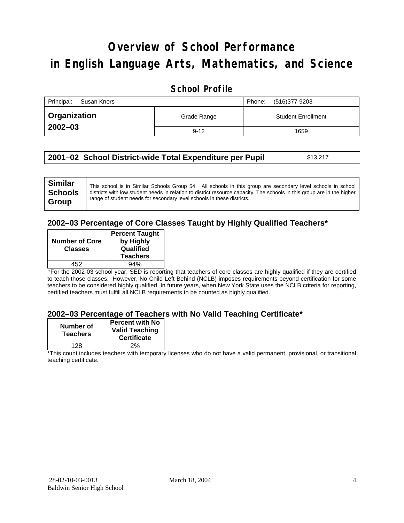# **Overview of School Performance in English Language Arts, Mathematics, and Science**

### **School Profile**

| Principal:<br>Susan Knors | Phone:      | (516)377-9203 |                           |
|---------------------------|-------------|---------------|---------------------------|
| <b>Organization</b>       | Grade Range |               | <b>Student Enrollment</b> |
| $2002 - 03$               | $9 - 12$    |               | 1659                      |

|  | 2001–02 School District-wide Total Expenditure per Pupil | \$13,217 |
|--|----------------------------------------------------------|----------|
|--|----------------------------------------------------------|----------|

### **2002–03 Percentage of Core Classes Taught by Highly Qualified Teachers\***

|                       | <b>Percent Taught</b> |
|-----------------------|-----------------------|
| <b>Number of Core</b> | by Highly             |
| <b>Classes</b>        | Qualified             |
|                       | <b>Teachers</b>       |
| 452.                  | 94%                   |
|                       |                       |

\*For the 2002-03 school year, SED is reporting that teachers of core classes are highly qualified if they are certified to teach those classes. However, No Child Left Behind (NCLB) imposes requirements beyond certification for some teachers to be considered highly qualified. In future years, when New York State uses the NCLB criteria for reporting, certified teachers must fulfill all NCLB requirements to be counted as highly qualified.

#### **2002–03 Percentage of Teachers with No Valid Teaching Certificate\***

| Number of<br><b>Teachers</b> | <b>Percent with No</b><br><b>Valid Teaching</b><br><b>Certificate</b> |
|------------------------------|-----------------------------------------------------------------------|
| 128                          | 2%                                                                    |

\*This count includes teachers with temporary licenses who do not have a valid permanent, provisional, or transitional teaching certificate.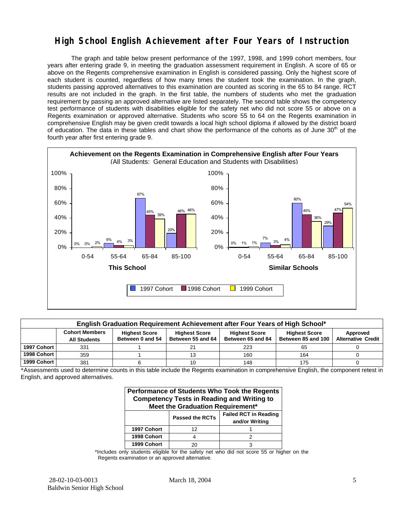### **High School English Achievement after Four Years of Instruction**

The graph and table below present performance of the 1997, 1998, and 1999 cohort members, four years after entering grade 9, in meeting the graduation assessment requirement in English. A score of 65 or above on the Regents comprehensive examination in English is considered passing. Only the highest score of each student is counted, regardless of how many times the student took the examination. In the graph, students passing approved alternatives to this examination are counted as scoring in the 65 to 84 range. RCT results are not included in the graph. In the first table, the numbers of students who met the graduation requirement by passing an approved alternative are listed separately. The second table shows the competency test performance of students with disabilities eligible for the safety net who did not score 55 or above on a Regents examination or approved alternative. Students who score 55 to 64 on the Regents examination in comprehensive English may be given credit towards a local high school diploma if allowed by the district board of education. The data in these tables and chart show the performance of the cohorts as of June  $30<sup>th</sup>$  of the fourth year after first entering grade 9.



| English Graduation Requirement Achievement after Four Years of High School* |                                                                                                                                                                                                                                                                           |  |  |     |     |  |  |  |  |
|-----------------------------------------------------------------------------|---------------------------------------------------------------------------------------------------------------------------------------------------------------------------------------------------------------------------------------------------------------------------|--|--|-----|-----|--|--|--|--|
|                                                                             | <b>Cohort Members</b><br><b>Highest Score</b><br><b>Highest Score</b><br><b>Highest Score</b><br><b>Highest Score</b><br>Approved<br>Between 55 and 64<br>Between 85 and 100<br>Between 0 and 54<br><b>Alternative Credit</b><br>Between 65 and 84<br><b>All Students</b> |  |  |     |     |  |  |  |  |
| 1997 Cohort                                                                 | 331                                                                                                                                                                                                                                                                       |  |  | 223 | 65  |  |  |  |  |
| 1998 Cohort                                                                 | 359                                                                                                                                                                                                                                                                       |  |  | 160 | 164 |  |  |  |  |
| 1999 Cohort                                                                 | 381                                                                                                                                                                                                                                                                       |  |  | 148 | 175 |  |  |  |  |

\*Assessments used to determine counts in this table include the Regents examination in comprehensive English, the component retest in English, and approved alternatives.

| Performance of Students Who Took the Regents<br><b>Competency Tests in Reading and Writing to</b><br>Meet the Graduation Requirement* |                        |                                                |  |  |  |  |  |
|---------------------------------------------------------------------------------------------------------------------------------------|------------------------|------------------------------------------------|--|--|--|--|--|
|                                                                                                                                       | <b>Passed the RCTs</b> | <b>Failed RCT in Reading</b><br>and/or Writing |  |  |  |  |  |
| 1997 Cohort                                                                                                                           | 12                     |                                                |  |  |  |  |  |
| 1998 Cohort                                                                                                                           |                        |                                                |  |  |  |  |  |
| 1999 Cohort                                                                                                                           |                        |                                                |  |  |  |  |  |

\*Includes only students eligible for the safety net who did not score 55 or higher on the Regents examination or an approved alternative.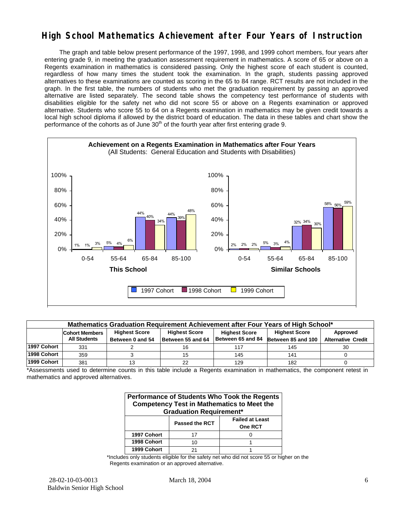## **High School Mathematics Achievement after Four Years of Instruction**

The graph and table below present performance of the 1997, 1998, and 1999 cohort members, four years after entering grade 9, in meeting the graduation assessment requirement in mathematics. A score of 65 or above on a Regents examination in mathematics is considered passing. Only the highest score of each student is counted, regardless of how many times the student took the examination. In the graph, students passing approved alternatives to these examinations are counted as scoring in the 65 to 84 range. RCT results are not included in the graph. In the first table, the numbers of students who met the graduation requirement by passing an approved alternative are listed separately. The second table shows the competency test performance of students with disabilities eligible for the safety net who did not score 55 or above on a Regents examination or approved alternative. Students who score 55 to 64 on a Regents examination in mathematics may be given credit towards a local high school diploma if allowed by the district board of education. The data in these tables and chart show the performance of the cohorts as of June  $30<sup>th</sup>$  of the fourth year after first entering grade 9.



| Mathematics Graduation Requirement Achievement after Four Years of High School* |                                                                                                                                   |                  |                   |                   |                    |                           |  |  |  |
|---------------------------------------------------------------------------------|-----------------------------------------------------------------------------------------------------------------------------------|------------------|-------------------|-------------------|--------------------|---------------------------|--|--|--|
|                                                                                 | <b>Highest Score</b><br><b>Highest Score</b><br><b>Highest Score</b><br>Approved<br><b>Cohort Members</b><br><b>Highest Score</b> |                  |                   |                   |                    |                           |  |  |  |
|                                                                                 | <b>All Students</b>                                                                                                               | Between 0 and 54 | Between 55 and 64 | Between 65 and 84 | Between 85 and 100 | <b>Alternative Credit</b> |  |  |  |
| 1997 Cohort                                                                     | 331                                                                                                                               |                  | 16                | 117               | 145                | 30                        |  |  |  |
| 1998 Cohort                                                                     | 359                                                                                                                               |                  | 15                | 145               | 141                |                           |  |  |  |
| 1999 Cohort                                                                     | 381                                                                                                                               | 13               | 22                | 129               | 182                |                           |  |  |  |

\*Assessments used to determine counts in this table include a Regents examination in mathematics, the component retest in mathematics and approved alternatives.

| Performance of Students Who Took the Regents<br><b>Competency Test in Mathematics to Meet the</b><br><b>Graduation Requirement*</b> |                       |                                   |  |  |  |  |  |
|-------------------------------------------------------------------------------------------------------------------------------------|-----------------------|-----------------------------------|--|--|--|--|--|
|                                                                                                                                     | <b>Passed the RCT</b> | <b>Failed at Least</b><br>One RCT |  |  |  |  |  |
| 1997 Cohort                                                                                                                         | 17                    |                                   |  |  |  |  |  |
| 1998 Cohort                                                                                                                         | 10                    |                                   |  |  |  |  |  |
| 1999 Cohort                                                                                                                         |                       |                                   |  |  |  |  |  |

\*Includes only students eligible for the safety net who did not score 55 or higher on the Regents examination or an approved alternative.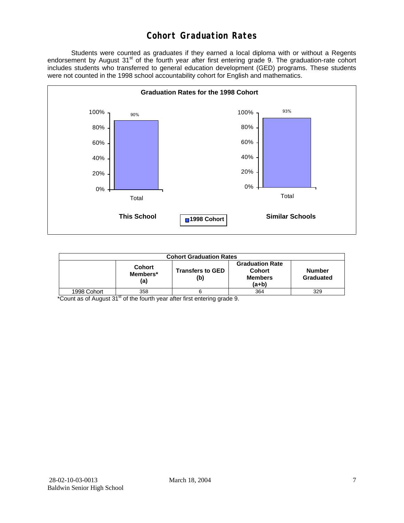## **Cohort Graduation Rates**

 Students were counted as graduates if they earned a local diploma with or without a Regents endorsement by August 31<sup>st</sup> of the fourth year after first entering grade 9. The graduation-rate cohort includes students who transferred to general education development (GED) programs. These students were not counted in the 1998 school accountability cohort for English and mathematics.



| <b>Cohort Graduation Rates</b> |                                  |                                |                                                                    |                            |  |  |
|--------------------------------|----------------------------------|--------------------------------|--------------------------------------------------------------------|----------------------------|--|--|
|                                | <b>Cohort</b><br>Members*<br>(a) | <b>Transfers to GED</b><br>(b) | <b>Graduation Rate</b><br><b>Cohort</b><br><b>Members</b><br>(a+b) | <b>Number</b><br>Graduated |  |  |
| 1998 Cohort                    | 358                              |                                | 364                                                                | 329                        |  |  |

\*Count as of August 31<sup>st</sup> of the fourth year after first entering grade 9.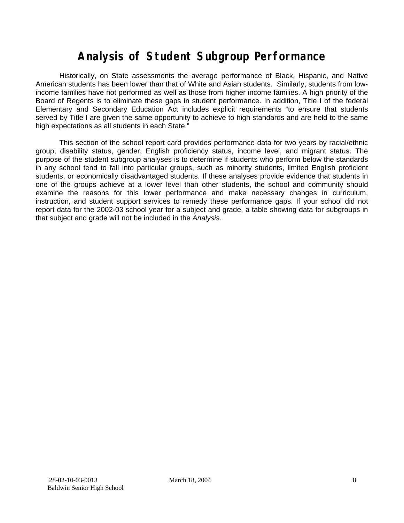# **Analysis of Student Subgroup Performance**

Historically, on State assessments the average performance of Black, Hispanic, and Native American students has been lower than that of White and Asian students. Similarly, students from lowincome families have not performed as well as those from higher income families. A high priority of the Board of Regents is to eliminate these gaps in student performance. In addition, Title I of the federal Elementary and Secondary Education Act includes explicit requirements "to ensure that students served by Title I are given the same opportunity to achieve to high standards and are held to the same high expectations as all students in each State."

This section of the school report card provides performance data for two years by racial/ethnic group, disability status, gender, English proficiency status, income level, and migrant status. The purpose of the student subgroup analyses is to determine if students who perform below the standards in any school tend to fall into particular groups, such as minority students, limited English proficient students, or economically disadvantaged students. If these analyses provide evidence that students in one of the groups achieve at a lower level than other students, the school and community should examine the reasons for this lower performance and make necessary changes in curriculum, instruction, and student support services to remedy these performance gaps. If your school did not report data for the 2002-03 school year for a subject and grade, a table showing data for subgroups in that subject and grade will not be included in the *Analysis*.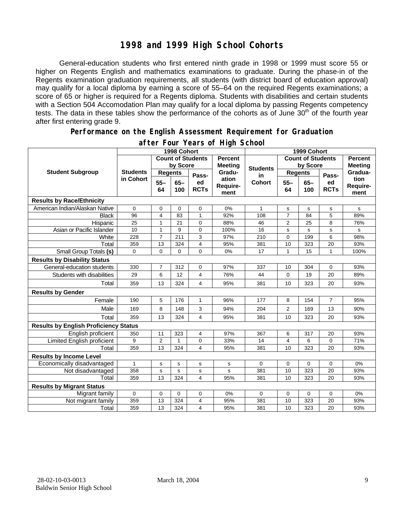### **1998 and 1999 High School Cohorts**

General-education students who first entered ninth grade in 1998 or 1999 must score 55 or higher on Regents English and mathematics examinations to graduate. During the phase-in of the Regents examination graduation requirements, all students (with district board of education approval) may qualify for a local diploma by earning a score of 55–64 on the required Regents examinations; a score of 65 or higher is required for a Regents diploma. Students with disabilities and certain students with a Section 504 Accomodation Plan may qualify for a local diploma by passing Regents competency tests. The data in these tables show the performance of the cohorts as of June 30<sup>th</sup> of the fourth year after first entering grade 9.

#### **Performance on the English Assessment Requirement for Graduation**

|                                              | 1998 Cohort              |                         |                |                          | 1999 Cohort               |                     |                |               |                   |                          |
|----------------------------------------------|--------------------------|-------------------------|----------------|--------------------------|---------------------------|---------------------|----------------|---------------|-------------------|--------------------------|
|                                              | <b>Count of Students</b> |                         | <b>Percent</b> | <b>Count of Students</b> |                           |                     | <b>Percent</b> |               |                   |                          |
|                                              |                          |                         | by Score       |                          | Meeting                   | <b>Students</b>     | by Score       |               | <b>Meeting</b>    |                          |
| <b>Student Subgroup</b>                      | <b>Students</b>          | <b>Regents</b>          |                | Pass-                    | Gradu-                    | in<br><b>Cohort</b> | <b>Regents</b> |               | Pass-             | Gradua-                  |
|                                              | in Cohort                | $55 -$<br>64            | $65-$<br>100   | ed<br><b>RCTs</b>        | ation<br>Require-<br>ment |                     | $55 -$<br>64   | $65 -$<br>100 | ed<br><b>RCTs</b> | tion<br>Require-<br>ment |
| <b>Results by Race/Ethnicity</b>             |                          |                         |                |                          |                           |                     |                |               |                   |                          |
| American Indian/Alaskan Native               | 0                        | 0                       | $\mathbf 0$    | $\mathbf 0$              | 0%                        | 1                   | s              | s             | s                 | s                        |
| <b>Black</b>                                 | 96                       | 4                       | 83             | 1                        | 92%                       | 108                 | $\overline{7}$ | 84            | 5                 | 89%                      |
| Hispanic                                     | 25                       | 1                       | 21             | $\mathbf 0$              | 88%                       | 46                  | $\overline{2}$ | 25            | 8                 | 76%                      |
| Asian or Pacific Islander                    | 10                       | $\mathbf{1}$            | 9              | $\Omega$                 | 100%                      | 16                  | s              | s             | s                 | s                        |
| White                                        | 228                      | $\overline{7}$          | 211            | 3                        | 97%                       | 210                 | $\mathbf 0$    | 199           | 6                 | 98%                      |
| Total                                        | 359                      | 13                      | 324            | $\overline{4}$           | 95%                       | 381                 | 10             | 323           | 20                | 93%                      |
| Small Group Totals (s)                       | 0                        | 0                       | 0              | $\Omega$                 | 0%                        | 17                  | 1              | 15            | 1                 | 100%                     |
| <b>Results by Disability Status</b>          |                          |                         |                |                          |                           |                     |                |               |                   |                          |
| General-education students                   | 330                      | $\overline{7}$          | 312            | 0                        | 97%                       | 337                 | 10             | 304           | $\Omega$          | 93%                      |
| Students with disabilities                   | 29                       | 6                       | 12             | 4                        | 76%                       | 44                  | $\mathbf 0$    | 19            | 20                | 89%                      |
| Total                                        | 359                      | 13                      | 324            | 4                        | 95%                       | 381                 | 10             | 323           | 20                | 93%                      |
| <b>Results by Gender</b>                     |                          |                         |                |                          |                           |                     |                |               |                   |                          |
| Female                                       | 190                      | 5                       | 176            | $\mathbf{1}$             | 96%                       | 177                 | 8              | 154           | $\overline{7}$    | 95%                      |
| Male                                         | 169                      | 8                       | 148            | 3                        | 94%                       | 204                 | $\overline{2}$ | 169           | 13                | 90%                      |
| Total                                        | 359                      | 13                      | 324            | 4                        | 95%                       | 381                 | 10             | 323           | 20                | 93%                      |
| <b>Results by English Proficiency Status</b> |                          |                         |                |                          |                           |                     |                |               |                   |                          |
| English proficient                           | 350                      | 11                      | 323            | 4                        | 97%                       | 367                 | 6              | 317           | 20                | 93%                      |
| Limited English proficient                   | 9                        | $\overline{\mathbf{c}}$ | 1              | 0                        | 33%                       | 14                  | 4              | 6             | $\mathbf 0$       | 71%                      |
| Total                                        | 359                      | 13                      | 324            | 4                        | 95%                       | 381                 | 10             | 323           | 20                | 93%                      |
| <b>Results by Income Level</b>               |                          |                         |                |                          |                           |                     |                |               |                   |                          |
| Economically disadvantaged                   | 1                        | s                       | s              | s                        | $\mathbf s$               | $\mathbf 0$         | $\mathbf 0$    | 0             | $\mathbf 0$       | 0%                       |
| Not disadvantaged                            | 358                      | s                       | s              | s                        | s                         | 381                 | 10             | 323           | 20                | 93%                      |
| Total                                        | 359                      | 13                      | 324            | 4                        | 95%                       | 381                 | 10             | 323           | 20                | 93%                      |
| <b>Results by Migrant Status</b>             |                          |                         |                |                          |                           |                     |                |               |                   |                          |
| Migrant family                               | $\mathbf 0$              | 0                       | 0              | $\mathbf 0$              | 0%                        | 0                   | 0              | 0             | $\mathbf 0$       | 0%                       |
| Not migrant family                           | 359                      | 13                      | 324            | 4                        | 95%                       | 381                 | 10             | 323           | 20                | 93%                      |
| Total                                        | 359                      | 13                      | 324            | 4                        | 95%                       | 381                 | 10             | 323           | 20                | 93%                      |

### **after Four Years of High School**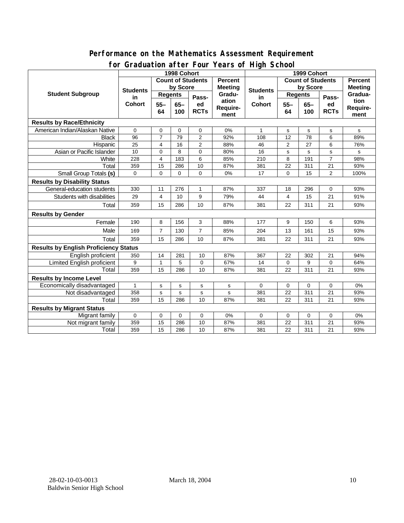### **Performance on the Mathematics Assessment Requirement for Graduation after Four Years of High School**

|                                              | addation artor roar roars or ringir conce<br>1998 Cohort |                          |             |                 |                                  | 1999 Cohort           |                          |             |                                  |          |  |  |
|----------------------------------------------|----------------------------------------------------------|--------------------------|-------------|-----------------|----------------------------------|-----------------------|--------------------------|-------------|----------------------------------|----------|--|--|
| <b>Student Subgroup</b>                      |                                                          | <b>Count of Students</b> |             |                 | <b>Percent</b><br><b>Meeting</b> | <b>Students</b><br>in | <b>Count of Students</b> |             | <b>Percent</b><br><b>Meeting</b> |          |  |  |
|                                              | <b>Students</b><br>in<br><b>Cohort</b>                   | by Score                 |             |                 |                                  |                       | by Score                 |             |                                  |          |  |  |
|                                              |                                                          | <b>Regents</b>           |             | Gradu-<br>Pass- | Regents                          |                       | Pass-                    | Gradua-     |                                  |          |  |  |
|                                              |                                                          | $55 -$                   | $65 -$      | ed              | ation                            | <b>Cohort</b>         | $55 -$                   | $65-$       | ed                               | tion     |  |  |
|                                              |                                                          | 64                       | 100         | <b>RCTs</b>     | Require-                         |                       | 64                       | 100         | <b>RCTs</b>                      | Require- |  |  |
|                                              |                                                          |                          |             |                 | ment                             |                       |                          |             |                                  | ment     |  |  |
| <b>Results by Race/Ethnicity</b>             |                                                          |                          |             |                 |                                  |                       |                          |             |                                  |          |  |  |
| American Indian/Alaskan Native               | $\mathbf 0$                                              | $\mathbf 0$              | $\mathbf 0$ | $\mathbf 0$     | 0%                               | $\mathbf{1}$          | s                        | $\mathbf s$ | s                                | s        |  |  |
| <b>Black</b>                                 | 96                                                       | $\overline{7}$           | 79          | $\overline{2}$  | 92%                              | 108                   | 12                       | 78          | 6                                | 89%      |  |  |
| Hispanic                                     | 25                                                       | 4                        | 16          | $\overline{2}$  | 88%                              | 46                    | $\overline{2}$           | 27          | 6                                | 76%      |  |  |
| Asian or Pacific Islander                    | 10                                                       | $\mathbf 0$              | 8           | $\Omega$        | 80%                              | 16                    | s                        | $\mathbf s$ | s                                | s        |  |  |
| White                                        | 228                                                      | $\overline{4}$           | 183         | 6               | 85%                              | 210                   | 8                        | 191         | $\overline{7}$                   | 98%      |  |  |
| Total                                        | 359                                                      | 15                       | 286         | 10              | 87%                              | 381                   | 22                       | 311         | 21                               | 93%      |  |  |
| <b>Small Group Totals (s)</b>                | $\Omega$                                                 | $\Omega$                 | $\Omega$    | $\Omega$        | 0%                               | 17                    | $\Omega$                 | 15          | $\overline{2}$                   | 100%     |  |  |
| <b>Results by Disability Status</b>          |                                                          |                          |             |                 |                                  |                       |                          |             |                                  |          |  |  |
| General-education students                   | 330                                                      | 11                       | 276         | 1               | 87%                              | 337                   | 18                       | 296         | 0                                | 93%      |  |  |
| Students with disabilities                   | 29                                                       | 4                        | 10          | 9               | 79%                              | 44                    | 4                        | 15          | 21                               | 91%      |  |  |
| Total                                        | 359                                                      | 15                       | 286         | 10              | 87%                              | 381                   | 22                       | 311         | 21                               | 93%      |  |  |
| <b>Results by Gender</b>                     |                                                          |                          |             |                 |                                  |                       |                          |             |                                  |          |  |  |
| Female                                       | 190                                                      | 8                        | 156         | 3               | 88%                              | 177                   | 9                        | 150         | 6                                | 93%      |  |  |
| Male                                         | 169                                                      | $\overline{7}$           | 130         | $\overline{7}$  | 85%                              | 204                   | 13                       | 161         | 15                               | 93%      |  |  |
| Total                                        | 359                                                      | 15                       | 286         | 10              | 87%                              | 381                   | 22                       | 311         | 21                               | 93%      |  |  |
| <b>Results by English Proficiency Status</b> |                                                          |                          |             |                 |                                  |                       |                          |             |                                  |          |  |  |
| English proficient                           | 350                                                      | 14                       | 281         | 10              | 87%                              | 367                   | 22                       | 302         | 21                               | 94%      |  |  |
| <b>Limited English proficient</b>            | 9                                                        | $\mathbf{1}$             | 5           | 0               | 67%                              | 14                    | $\mathbf 0$              | 9           | 0                                | 64%      |  |  |
| Total                                        | 359                                                      | 15                       | 286         | 10              | 87%                              | 381                   | 22                       | 311         | 21                               | 93%      |  |  |
| <b>Results by Income Level</b>               |                                                          |                          |             |                 |                                  |                       |                          |             |                                  |          |  |  |
| Economically disadvantaged                   | $\mathbf{1}$                                             | s                        | s           | s               | s                                | $\mathbf 0$           | 0                        | $\mathbf 0$ | 0                                | 0%       |  |  |
| Not disadvantaged                            | 358                                                      | s                        | s           | $\mathbf s$     | s                                | 381                   | 22                       | 311         | 21                               | 93%      |  |  |
| Total                                        | 359                                                      | 15                       | 286         | 10              | 87%                              | 381                   | 22                       | 311         | 21                               | 93%      |  |  |
| <b>Results by Migrant Status</b>             |                                                          |                          |             |                 |                                  |                       |                          |             |                                  |          |  |  |
| Migrant family                               | $\mathbf 0$                                              | $\mathbf 0$              | 0           | 0               | 0%                               | 0                     | 0                        | 0           | 0                                | 0%       |  |  |
| Not migrant family                           | 359                                                      | 15                       | 286         | 10              | 87%                              | 381                   | 22                       | 311         | 21                               | 93%      |  |  |
| Total                                        | 359                                                      | 15                       | 286         | 10              | 87%                              | 381                   | 22                       | 311         | 21                               | 93%      |  |  |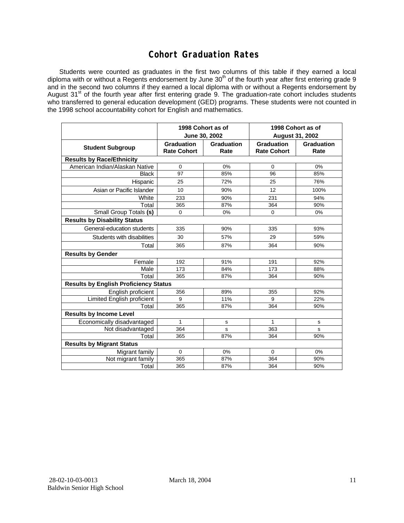### **Cohort Graduation Rates**

Students were counted as graduates in the first two columns of this table if they earned a local diploma with or without a Regents endorsement by June 30<sup>th</sup> of the fourth year after first entering grade 9 and in the second two columns if they earned a local diploma with or without a Regents endorsement by August 31<sup>st</sup> of the fourth year after first entering grade 9. The graduation-rate cohort includes students who transferred to general education development (GED) programs. These students were not counted in the 1998 school accountability cohort for English and mathematics.

|                                              | 1998 Cohort as of                       |                           | 1998 Cohort as of                |                           |  |  |  |  |  |
|----------------------------------------------|-----------------------------------------|---------------------------|----------------------------------|---------------------------|--|--|--|--|--|
|                                              | June 30, 2002                           |                           | <b>August 31, 2002</b>           |                           |  |  |  |  |  |
| <b>Student Subgroup</b>                      | <b>Graduation</b><br><b>Rate Cohort</b> | <b>Graduation</b><br>Rate | Graduation<br><b>Rate Cohort</b> | <b>Graduation</b><br>Rate |  |  |  |  |  |
| <b>Results by Race/Ethnicity</b>             |                                         |                           |                                  |                           |  |  |  |  |  |
| American Indian/Alaskan Native               | 0                                       | 0%                        | 0                                | 0%                        |  |  |  |  |  |
| <b>Black</b>                                 | 97                                      | 85%                       | 96                               | 85%                       |  |  |  |  |  |
| Hispanic                                     | 25                                      | 72%                       | 25                               | 76%                       |  |  |  |  |  |
| Asian or Pacific Islander                    | 10                                      | 90%                       | 12                               | 100%                      |  |  |  |  |  |
| White                                        | 233                                     | 90%                       | 231                              | 94%                       |  |  |  |  |  |
| Total                                        | 365                                     | 87%                       | 364                              | 90%                       |  |  |  |  |  |
| Small Group Totals (s)                       | $\Omega$                                | 0%                        | 0                                | $0\%$                     |  |  |  |  |  |
| <b>Results by Disability Status</b>          |                                         |                           |                                  |                           |  |  |  |  |  |
| General-education students                   | 335                                     | 90%                       | 335                              | 93%                       |  |  |  |  |  |
| Students with disabilities                   | 30                                      | 57%                       | 29                               | 59%                       |  |  |  |  |  |
| Total                                        | 365                                     | 87%                       | 364                              | 90%                       |  |  |  |  |  |
| <b>Results by Gender</b>                     |                                         |                           |                                  |                           |  |  |  |  |  |
| Female                                       | 192                                     | 91%                       | 191                              | 92%                       |  |  |  |  |  |
| Male                                         | 173                                     | 84%                       | 173                              | 88%                       |  |  |  |  |  |
| Total                                        | 365                                     | 87%                       | 364                              | 90%                       |  |  |  |  |  |
| <b>Results by English Proficiency Status</b> |                                         |                           |                                  |                           |  |  |  |  |  |
| English proficient                           | 356                                     | 89%                       | 355                              | 92%                       |  |  |  |  |  |
| <b>Limited English proficient</b>            | 9                                       | 11%                       | 9                                | 22%                       |  |  |  |  |  |
| Total                                        | 365                                     | 87%                       | 364                              | 90%                       |  |  |  |  |  |
| <b>Results by Income Level</b>               |                                         |                           |                                  |                           |  |  |  |  |  |
| Economically disadvantaged                   | $\mathbf{1}$                            | $\mathbf s$               | $\mathbf{1}$                     | s                         |  |  |  |  |  |
| Not disadvantaged                            | 364                                     | s                         | 363                              | s                         |  |  |  |  |  |
| Total                                        | 365                                     | 87%                       | 364                              | 90%                       |  |  |  |  |  |
| <b>Results by Migrant Status</b>             |                                         |                           |                                  |                           |  |  |  |  |  |
| Migrant family                               | $\Omega$                                | 0%                        | $\Omega$                         | 0%                        |  |  |  |  |  |
| Not migrant family                           | 365                                     | 87%                       | 364                              | 90%                       |  |  |  |  |  |
| Total                                        | 365                                     | 87%                       | 364                              | 90%                       |  |  |  |  |  |